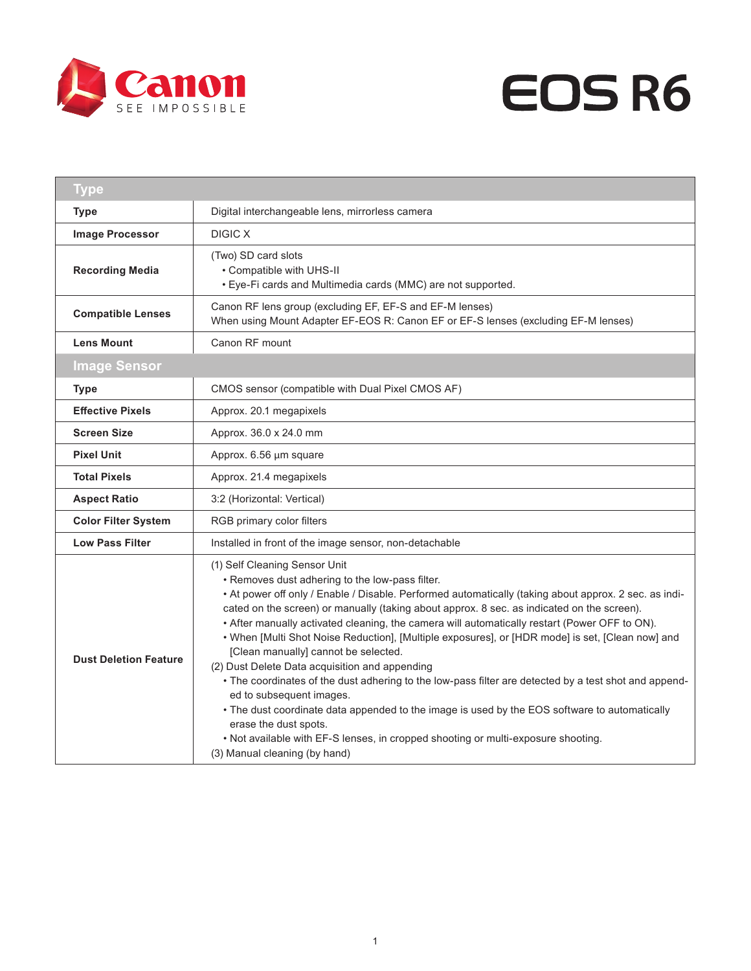



| <b>Type</b>                  |                                                                                                                                                                                                                                                                                                                                                                                                                                                                                                                                                                                                                                                                                                                                                                                                                                                                                                                                                                             |
|------------------------------|-----------------------------------------------------------------------------------------------------------------------------------------------------------------------------------------------------------------------------------------------------------------------------------------------------------------------------------------------------------------------------------------------------------------------------------------------------------------------------------------------------------------------------------------------------------------------------------------------------------------------------------------------------------------------------------------------------------------------------------------------------------------------------------------------------------------------------------------------------------------------------------------------------------------------------------------------------------------------------|
| <b>Type</b>                  | Digital interchangeable lens, mirrorless camera                                                                                                                                                                                                                                                                                                                                                                                                                                                                                                                                                                                                                                                                                                                                                                                                                                                                                                                             |
| <b>Image Processor</b>       | <b>DIGIC X</b>                                                                                                                                                                                                                                                                                                                                                                                                                                                                                                                                                                                                                                                                                                                                                                                                                                                                                                                                                              |
| <b>Recording Media</b>       | (Two) SD card slots<br>• Compatible with UHS-II<br>• Eye-Fi cards and Multimedia cards (MMC) are not supported.                                                                                                                                                                                                                                                                                                                                                                                                                                                                                                                                                                                                                                                                                                                                                                                                                                                             |
| <b>Compatible Lenses</b>     | Canon RF lens group (excluding EF, EF-S and EF-M lenses)<br>When using Mount Adapter EF-EOS R: Canon EF or EF-S lenses (excluding EF-M lenses)                                                                                                                                                                                                                                                                                                                                                                                                                                                                                                                                                                                                                                                                                                                                                                                                                              |
| <b>Lens Mount</b>            | Canon RF mount                                                                                                                                                                                                                                                                                                                                                                                                                                                                                                                                                                                                                                                                                                                                                                                                                                                                                                                                                              |
| <b>Image Sensor</b>          |                                                                                                                                                                                                                                                                                                                                                                                                                                                                                                                                                                                                                                                                                                                                                                                                                                                                                                                                                                             |
| <b>Type</b>                  | CMOS sensor (compatible with Dual Pixel CMOS AF)                                                                                                                                                                                                                                                                                                                                                                                                                                                                                                                                                                                                                                                                                                                                                                                                                                                                                                                            |
| <b>Effective Pixels</b>      | Approx. 20.1 megapixels                                                                                                                                                                                                                                                                                                                                                                                                                                                                                                                                                                                                                                                                                                                                                                                                                                                                                                                                                     |
| <b>Screen Size</b>           | Approx. 36.0 x 24.0 mm                                                                                                                                                                                                                                                                                                                                                                                                                                                                                                                                                                                                                                                                                                                                                                                                                                                                                                                                                      |
| <b>Pixel Unit</b>            | Approx. 6.56 µm square                                                                                                                                                                                                                                                                                                                                                                                                                                                                                                                                                                                                                                                                                                                                                                                                                                                                                                                                                      |
| <b>Total Pixels</b>          | Approx. 21.4 megapixels                                                                                                                                                                                                                                                                                                                                                                                                                                                                                                                                                                                                                                                                                                                                                                                                                                                                                                                                                     |
| <b>Aspect Ratio</b>          | 3:2 (Horizontal: Vertical)                                                                                                                                                                                                                                                                                                                                                                                                                                                                                                                                                                                                                                                                                                                                                                                                                                                                                                                                                  |
| <b>Color Filter System</b>   | RGB primary color filters                                                                                                                                                                                                                                                                                                                                                                                                                                                                                                                                                                                                                                                                                                                                                                                                                                                                                                                                                   |
| <b>Low Pass Filter</b>       | Installed in front of the image sensor, non-detachable                                                                                                                                                                                                                                                                                                                                                                                                                                                                                                                                                                                                                                                                                                                                                                                                                                                                                                                      |
| <b>Dust Deletion Feature</b> | (1) Self Cleaning Sensor Unit<br>• Removes dust adhering to the low-pass filter.<br>• At power off only / Enable / Disable. Performed automatically (taking about approx. 2 sec. as indi-<br>cated on the screen) or manually (taking about approx. 8 sec. as indicated on the screen).<br>• After manually activated cleaning, the camera will automatically restart (Power OFF to ON).<br>. When [Multi Shot Noise Reduction], [Multiple exposures], or [HDR mode] is set, [Clean now] and<br>[Clean manually] cannot be selected.<br>(2) Dust Delete Data acquisition and appending<br>• The coordinates of the dust adhering to the low-pass filter are detected by a test shot and append-<br>ed to subsequent images.<br>• The dust coordinate data appended to the image is used by the EOS software to automatically<br>erase the dust spots.<br>. Not available with EF-S lenses, in cropped shooting or multi-exposure shooting.<br>(3) Manual cleaning (by hand) |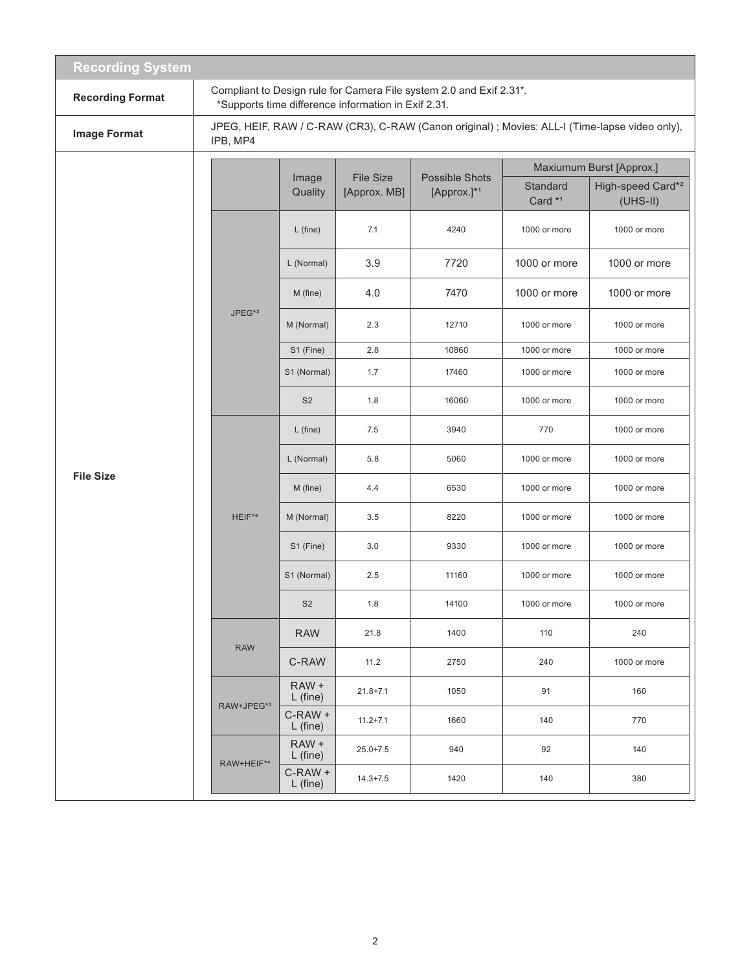| <b>Recording System</b> |                    |                          |                                                     |                                                                     |                                |                                                                                                |  |
|-------------------------|--------------------|--------------------------|-----------------------------------------------------|---------------------------------------------------------------------|--------------------------------|------------------------------------------------------------------------------------------------|--|
| <b>Recording Format</b> |                    |                          | *Supports time difference information in Exif 2.31. | Compliant to Design rule for Camera File system 2.0 and Exif 2.31*. |                                |                                                                                                |  |
| <b>Image Format</b>     | IPB, MP4           |                          |                                                     |                                                                     |                                | JPEG, HEIF, RAW / C-RAW (CR3), C-RAW (Canon original) ; Movies: ALL-I (Time-lapse video only), |  |
|                         |                    |                          |                                                     |                                                                     | Maxiumum Burst [Approx.]       |                                                                                                |  |
|                         |                    | Image<br>Quality         | <b>File Size</b><br>[Approx. MB]                    | <b>Possible Shots</b><br>[Approx.]*1                                | Standard<br>Card <sup>*1</sup> | High-speed Card* <sup>2</sup><br>$(UHS-II)$                                                    |  |
|                         |                    | $L$ (fine)               | 7.1                                                 | 4240                                                                | 1000 or more                   | 1000 or more                                                                                   |  |
|                         |                    | L (Normal)               | 3.9                                                 | 7720                                                                | 1000 or more                   | 1000 or more                                                                                   |  |
|                         |                    | M (fine)                 | 4.0                                                 | 7470                                                                | 1000 or more                   | 1000 or more                                                                                   |  |
|                         | JPEG <sup>*3</sup> | M (Normal)               | 2.3                                                 | 12710                                                               | 1000 or more                   | 1000 or more                                                                                   |  |
|                         |                    | S1 (Fine)                | 2.8                                                 | 10860                                                               | 1000 or more                   | 1000 or more                                                                                   |  |
|                         |                    | S1 (Normal)              | 1.7                                                 | 17460                                                               | 1000 or more                   | 1000 or more                                                                                   |  |
|                         |                    | S <sub>2</sub>           | 1.8                                                 | 16060                                                               | 1000 or more                   | 1000 or more                                                                                   |  |
|                         |                    | $L$ (fine)               | 7.5                                                 | 3940                                                                | 770                            | 1000 or more                                                                                   |  |
|                         |                    | L (Normal)               | 5.8                                                 | 5060                                                                | 1000 or more                   | 1000 or more                                                                                   |  |
| <b>File Size</b>        |                    | M (fine)                 | 4.4                                                 | 6530                                                                | 1000 or more                   | 1000 or more                                                                                   |  |
|                         | HEIF*4             | M (Normal)               | 3.5                                                 | 8220                                                                | 1000 or more                   | 1000 or more                                                                                   |  |
|                         |                    | S1 (Fine)                | 3.0                                                 | 9330                                                                | 1000 or more                   | 1000 or more                                                                                   |  |
|                         |                    | S1 (Normal)              | 2.5                                                 | 11160                                                               | 1000 or more                   | 1000 or more                                                                                   |  |
|                         |                    | S <sub>2</sub>           | 1.8                                                 | 14100                                                               | 1000 or more                   | 1000 or more                                                                                   |  |
|                         | <b>RAW</b>         | <b>RAW</b>               | 21.8                                                | 1400                                                                | 110                            | 240                                                                                            |  |
|                         |                    | C-RAW                    | 11.2                                                | 2750                                                                | 240                            | 1000 or more                                                                                   |  |
|                         | RAW+JPEG*3         | RAW +<br>$L$ (fine)      | $21.8 + 7.1$                                        | 1050                                                                | 91                             | 160                                                                                            |  |
|                         |                    | $C$ -RAW +<br>$L$ (fine) | $11.2 + 7.1$                                        | 1660                                                                | 140                            | 770                                                                                            |  |
|                         | RAW+HEIF*4         | RAW +<br>$L$ (fine)      | $25.0 + 7.5$                                        | 940                                                                 | 92                             | 140                                                                                            |  |
|                         |                    | $C-RAW +$<br>$L$ (fine)  | $14.3 + 7.5$                                        | 1420                                                                | 140                            | 380                                                                                            |  |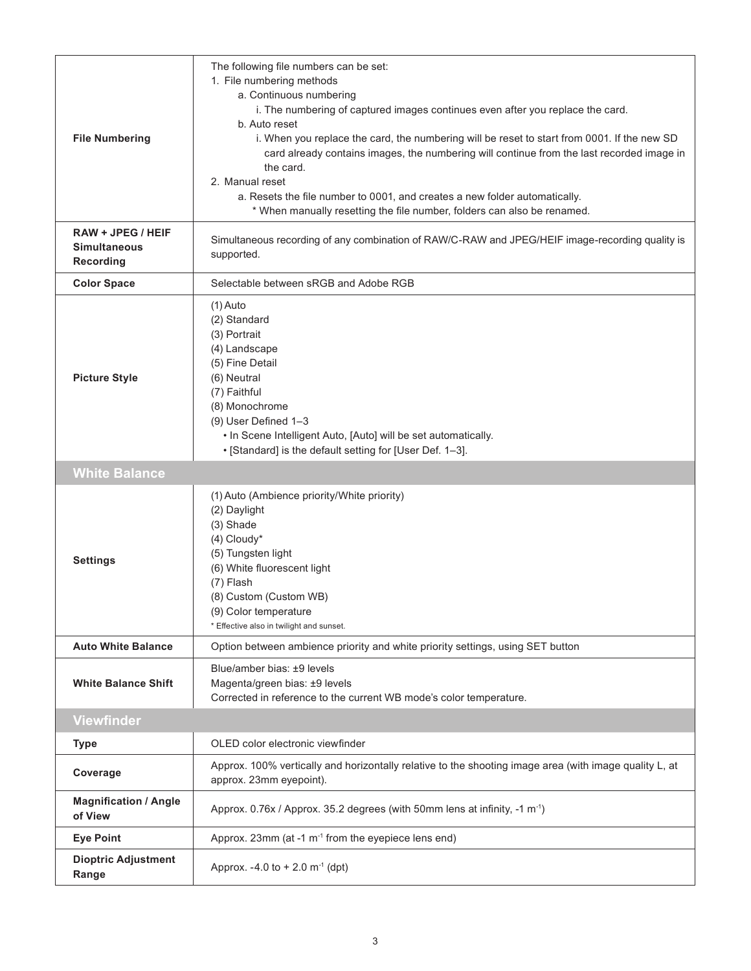| <b>File Numbering</b><br><b>RAW + JPEG / HEIF</b> | The following file numbers can be set:<br>1. File numbering methods<br>a. Continuous numbering<br>i. The numbering of captured images continues even after you replace the card.<br>b. Auto reset<br>i. When you replace the card, the numbering will be reset to start from 0001. If the new SD<br>card already contains images, the numbering will continue from the last recorded image in<br>the card.<br>2. Manual reset<br>a. Resets the file number to 0001, and creates a new folder automatically.<br>* When manually resetting the file number, folders can also be renamed.<br>Simultaneous recording of any combination of RAW/C-RAW and JPEG/HEIF image-recording quality is |
|---------------------------------------------------|-------------------------------------------------------------------------------------------------------------------------------------------------------------------------------------------------------------------------------------------------------------------------------------------------------------------------------------------------------------------------------------------------------------------------------------------------------------------------------------------------------------------------------------------------------------------------------------------------------------------------------------------------------------------------------------------|
| <b>Simultaneous</b><br><b>Recording</b>           | supported.                                                                                                                                                                                                                                                                                                                                                                                                                                                                                                                                                                                                                                                                                |
| <b>Color Space</b>                                | Selectable between sRGB and Adobe RGB                                                                                                                                                                                                                                                                                                                                                                                                                                                                                                                                                                                                                                                     |
| <b>Picture Style</b>                              | $(1)$ Auto<br>(2) Standard<br>(3) Portrait<br>(4) Landscape<br>(5) Fine Detail<br>(6) Neutral<br>(7) Faithful<br>(8) Monochrome<br>(9) User Defined 1-3<br>. In Scene Intelligent Auto, [Auto] will be set automatically.<br>• [Standard] is the default setting for [User Def. 1-3].                                                                                                                                                                                                                                                                                                                                                                                                     |
| <b>White Balance</b>                              |                                                                                                                                                                                                                                                                                                                                                                                                                                                                                                                                                                                                                                                                                           |
| <b>Settings</b>                                   | (1) Auto (Ambience priority/White priority)<br>(2) Daylight<br>(3) Shade<br>(4) Cloudy*<br>(5) Tungsten light<br>(6) White fluorescent light<br>(7) Flash<br>(8) Custom (Custom WB)<br>(9) Color temperature<br>* Effective also in twilight and sunset.                                                                                                                                                                                                                                                                                                                                                                                                                                  |
| <b>Auto White Balance</b>                         | Option between ambience priority and white priority settings, using SET button                                                                                                                                                                                                                                                                                                                                                                                                                                                                                                                                                                                                            |
| <b>White Balance Shift</b>                        | Blue/amber bias: ±9 levels<br>Magenta/green bias: ±9 levels<br>Corrected in reference to the current WB mode's color temperature.                                                                                                                                                                                                                                                                                                                                                                                                                                                                                                                                                         |
| <b>Viewfinder</b>                                 |                                                                                                                                                                                                                                                                                                                                                                                                                                                                                                                                                                                                                                                                                           |
| <b>Type</b>                                       | OLED color electronic viewfinder                                                                                                                                                                                                                                                                                                                                                                                                                                                                                                                                                                                                                                                          |
| Coverage                                          | Approx. 100% vertically and horizontally relative to the shooting image area (with image quality L, at<br>approx. 23mm eyepoint).                                                                                                                                                                                                                                                                                                                                                                                                                                                                                                                                                         |
| <b>Magnification / Angle</b><br>of View           | Approx. 0.76x / Approx. 35.2 degrees (with 50mm lens at infinity, -1 m <sup>-1</sup> )                                                                                                                                                                                                                                                                                                                                                                                                                                                                                                                                                                                                    |
| <b>Eye Point</b>                                  | Approx. 23mm (at -1 m <sup>-1</sup> from the eyepiece lens end)                                                                                                                                                                                                                                                                                                                                                                                                                                                                                                                                                                                                                           |
| <b>Dioptric Adjustment</b><br>Range               | Approx. -4.0 to +2.0 m <sup>-1</sup> (dpt)                                                                                                                                                                                                                                                                                                                                                                                                                                                                                                                                                                                                                                                |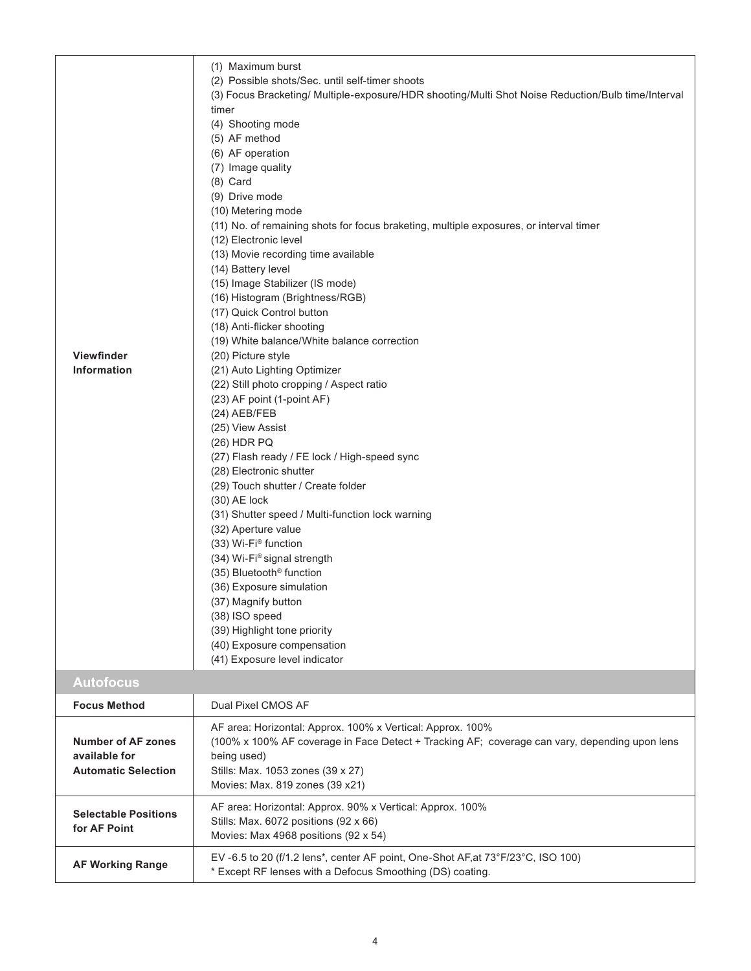| <b>Viewfinder</b><br>Information                                         | (1) Maximum burst<br>(2) Possible shots/Sec. until self-timer shoots<br>(3) Focus Bracketing/ Multiple-exposure/HDR shooting/Multi Shot Noise Reduction/Bulb time/Interval<br>timer<br>(4) Shooting mode<br>(5) AF method<br>(6) AF operation<br>(7) Image quality<br>$(8)$ Card<br>(9) Drive mode<br>(10) Metering mode<br>(11) No. of remaining shots for focus braketing, multiple exposures, or interval timer<br>(12) Electronic level<br>(13) Movie recording time available<br>(14) Battery level<br>(15) Image Stabilizer (IS mode)<br>(16) Histogram (Brightness/RGB)<br>(17) Quick Control button<br>(18) Anti-flicker shooting<br>(19) White balance/White balance correction<br>(20) Picture style<br>(21) Auto Lighting Optimizer<br>(22) Still photo cropping / Aspect ratio<br>(23) AF point (1-point AF)<br>(24) AEB/FEB<br>(25) View Assist<br>(26) HDR PQ<br>(27) Flash ready / FE lock / High-speed sync<br>(28) Electronic shutter<br>(29) Touch shutter / Create folder<br>$(30)$ AE lock<br>(31) Shutter speed / Multi-function lock warning<br>(32) Aperture value<br>(33) Wi-Fi <sup>®</sup> function<br>(34) Wi-Fi® signal strength<br>(35) Bluetooth <sup>®</sup> function<br>(36) Exposure simulation<br>(37) Magnify button<br>(38) ISO speed<br>(39) Highlight tone priority<br>(40) Exposure compensation<br>(41) Exposure level indicator |
|--------------------------------------------------------------------------|--------------------------------------------------------------------------------------------------------------------------------------------------------------------------------------------------------------------------------------------------------------------------------------------------------------------------------------------------------------------------------------------------------------------------------------------------------------------------------------------------------------------------------------------------------------------------------------------------------------------------------------------------------------------------------------------------------------------------------------------------------------------------------------------------------------------------------------------------------------------------------------------------------------------------------------------------------------------------------------------------------------------------------------------------------------------------------------------------------------------------------------------------------------------------------------------------------------------------------------------------------------------------------------------------------------------------------------------------------------------------|
| <b>Autofocus</b>                                                         |                                                                                                                                                                                                                                                                                                                                                                                                                                                                                                                                                                                                                                                                                                                                                                                                                                                                                                                                                                                                                                                                                                                                                                                                                                                                                                                                                                          |
| <b>Focus Method</b>                                                      | Dual Pixel CMOS AF                                                                                                                                                                                                                                                                                                                                                                                                                                                                                                                                                                                                                                                                                                                                                                                                                                                                                                                                                                                                                                                                                                                                                                                                                                                                                                                                                       |
| <b>Number of AF zones</b><br>available for<br><b>Automatic Selection</b> | AF area: Horizontal: Approx. 100% x Vertical: Approx. 100%<br>(100% x 100% AF coverage in Face Detect + Tracking AF; coverage can vary, depending upon lens<br>being used)<br>Stills: Max. 1053 zones (39 x 27)<br>Movies: Max. 819 zones (39 x21)                                                                                                                                                                                                                                                                                                                                                                                                                                                                                                                                                                                                                                                                                                                                                                                                                                                                                                                                                                                                                                                                                                                       |
| <b>Selectable Positions</b><br>for AF Point                              | AF area: Horizontal: Approx. 90% x Vertical: Approx. 100%<br>Stills: Max. 6072 positions (92 x 66)<br>Movies: Max 4968 positions (92 x 54)                                                                                                                                                                                                                                                                                                                                                                                                                                                                                                                                                                                                                                                                                                                                                                                                                                                                                                                                                                                                                                                                                                                                                                                                                               |
| <b>AF Working Range</b>                                                  | EV-6.5 to 20 (f/1.2 lens*, center AF point, One-Shot AF, at 73°F/23°C, ISO 100)<br>* Except RF lenses with a Defocus Smoothing (DS) coating.                                                                                                                                                                                                                                                                                                                                                                                                                                                                                                                                                                                                                                                                                                                                                                                                                                                                                                                                                                                                                                                                                                                                                                                                                             |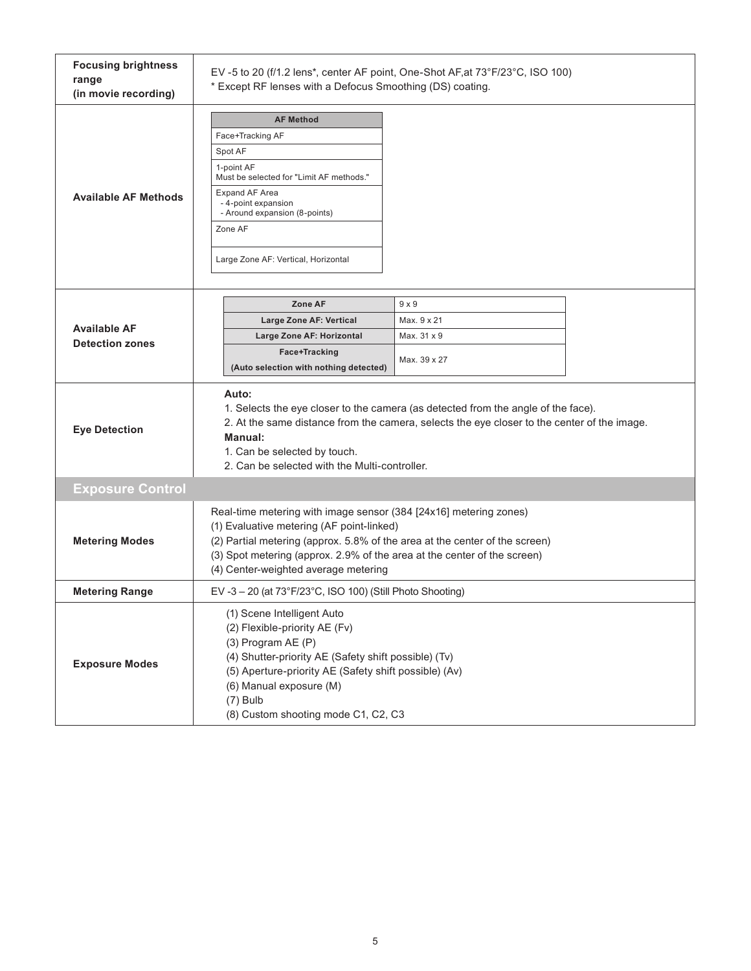| <b>Focusing brightness</b><br>range<br>(in movie recording) | EV-5 to 20 (f/1.2 lens*, center AF point, One-Shot AF, at 73°F/23°C, ISO 100)<br>* Except RF lenses with a Defocus Smoothing (DS) coating.                                                                                                                                                                        |                                                                                                                                                                                  |  |
|-------------------------------------------------------------|-------------------------------------------------------------------------------------------------------------------------------------------------------------------------------------------------------------------------------------------------------------------------------------------------------------------|----------------------------------------------------------------------------------------------------------------------------------------------------------------------------------|--|
| <b>Available AF Methods</b>                                 | <b>AF Method</b><br>Face+Tracking AF<br>Spot AF<br>1-point AF<br>Must be selected for "Limit AF methods."<br><b>Expand AF Area</b><br>- 4-point expansion<br>- Around expansion (8-points)<br>Zone AF<br>Large Zone AF: Vertical, Horizontal                                                                      |                                                                                                                                                                                  |  |
| <b>Available AF</b><br><b>Detection zones</b>               | Zone AF<br>Large Zone AF: Vertical<br>Large Zone AF: Horizontal<br>Face+Tracking<br>(Auto selection with nothing detected)                                                                                                                                                                                        | $9 \times 9$<br>Max. 9 x 21<br>Max. 31 x 9<br>Max. 39 x 27                                                                                                                       |  |
| <b>Eye Detection</b>                                        | Auto:<br>Manual:<br>1. Can be selected by touch.<br>2. Can be selected with the Multi-controller.                                                                                                                                                                                                                 | 1. Selects the eye closer to the camera (as detected from the angle of the face).<br>2. At the same distance from the camera, selects the eye closer to the center of the image. |  |
| <b>Exposure Control</b>                                     |                                                                                                                                                                                                                                                                                                                   |                                                                                                                                                                                  |  |
| <b>Metering Modes</b>                                       | Real-time metering with image sensor (384 [24x16] metering zones)<br>(1) Evaluative metering (AF point-linked)<br>(2) Partial metering (approx. 5.8% of the area at the center of the screen)<br>(3) Spot metering (approx. 2.9% of the area at the center of the screen)<br>(4) Center-weighted average metering |                                                                                                                                                                                  |  |
| <b>Metering Range</b>                                       | EV-3-20 (at 73°F/23°C, ISO 100) (Still Photo Shooting)                                                                                                                                                                                                                                                            |                                                                                                                                                                                  |  |
| <b>Exposure Modes</b>                                       | (1) Scene Intelligent Auto<br>(2) Flexible-priority AE (Fv)<br>(3) Program AE (P)<br>(4) Shutter-priority AE (Safety shift possible) (Tv)<br>(5) Aperture-priority AE (Safety shift possible) (Av)<br>(6) Manual exposure (M)<br>$(7)$ Bulb<br>(8) Custom shooting mode C1, C2, C3                                |                                                                                                                                                                                  |  |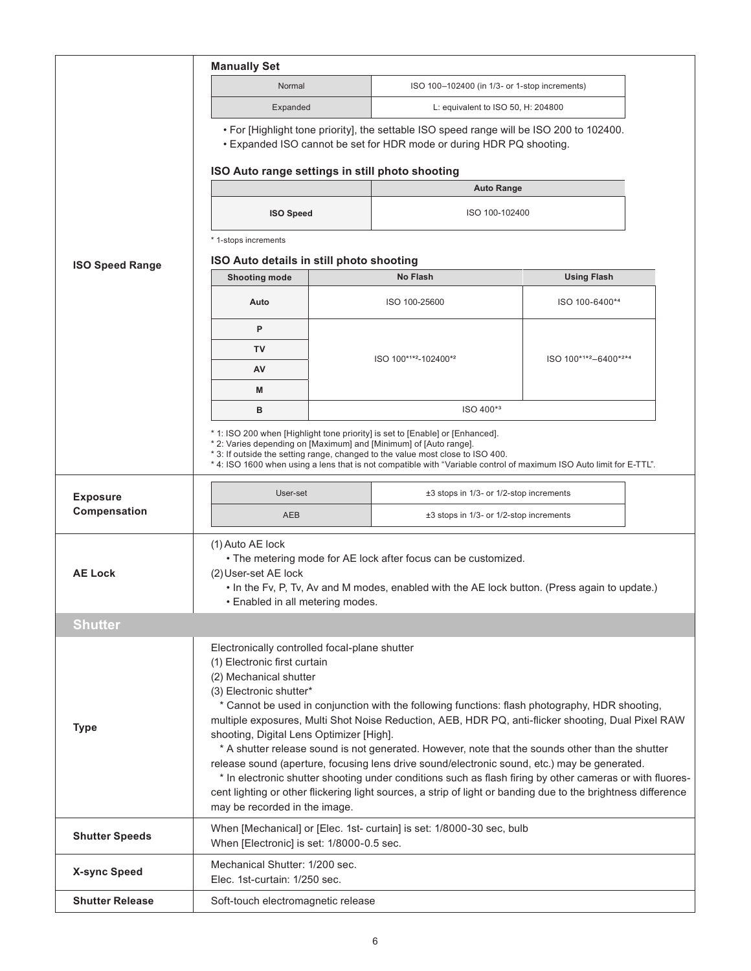|                        | <b>Manually Set</b>                                                                                                                                                                                                                  |                                                                                                                                                                                                |                                                                                                                                                                                                                                                                                                                                                                                                                                     |  |  |  |  |  |
|------------------------|--------------------------------------------------------------------------------------------------------------------------------------------------------------------------------------------------------------------------------------|------------------------------------------------------------------------------------------------------------------------------------------------------------------------------------------------|-------------------------------------------------------------------------------------------------------------------------------------------------------------------------------------------------------------------------------------------------------------------------------------------------------------------------------------------------------------------------------------------------------------------------------------|--|--|--|--|--|
|                        | Normal                                                                                                                                                                                                                               | ISO 100-102400 (in 1/3- or 1-stop increments)                                                                                                                                                  |                                                                                                                                                                                                                                                                                                                                                                                                                                     |  |  |  |  |  |
|                        | Expanded                                                                                                                                                                                                                             | L: equivalent to ISO 50, H: $204800$                                                                                                                                                           |                                                                                                                                                                                                                                                                                                                                                                                                                                     |  |  |  |  |  |
|                        | • For [Highlight tone priority], the settable ISO speed range will be ISO 200 to 102400.<br>• Expanded ISO cannot be set for HDR mode or during HDR PQ shooting.                                                                     |                                                                                                                                                                                                |                                                                                                                                                                                                                                                                                                                                                                                                                                     |  |  |  |  |  |
|                        | ISO Auto range settings in still photo shooting                                                                                                                                                                                      |                                                                                                                                                                                                |                                                                                                                                                                                                                                                                                                                                                                                                                                     |  |  |  |  |  |
|                        |                                                                                                                                                                                                                                      | <b>Auto Range</b>                                                                                                                                                                              |                                                                                                                                                                                                                                                                                                                                                                                                                                     |  |  |  |  |  |
|                        | <b>ISO Speed</b>                                                                                                                                                                                                                     | ISO 100-102400                                                                                                                                                                                 |                                                                                                                                                                                                                                                                                                                                                                                                                                     |  |  |  |  |  |
|                        | * 1-stops increments                                                                                                                                                                                                                 |                                                                                                                                                                                                |                                                                                                                                                                                                                                                                                                                                                                                                                                     |  |  |  |  |  |
| <b>ISO Speed Range</b> | ISO Auto details in still photo shooting                                                                                                                                                                                             |                                                                                                                                                                                                |                                                                                                                                                                                                                                                                                                                                                                                                                                     |  |  |  |  |  |
|                        | <b>Shooting mode</b>                                                                                                                                                                                                                 | <b>No Flash</b>                                                                                                                                                                                | <b>Using Flash</b>                                                                                                                                                                                                                                                                                                                                                                                                                  |  |  |  |  |  |
|                        | Auto                                                                                                                                                                                                                                 | ISO 100-25600                                                                                                                                                                                  | ISO 100-6400*4                                                                                                                                                                                                                                                                                                                                                                                                                      |  |  |  |  |  |
|                        | P                                                                                                                                                                                                                                    |                                                                                                                                                                                                |                                                                                                                                                                                                                                                                                                                                                                                                                                     |  |  |  |  |  |
|                        | TV                                                                                                                                                                                                                                   |                                                                                                                                                                                                |                                                                                                                                                                                                                                                                                                                                                                                                                                     |  |  |  |  |  |
|                        | AV                                                                                                                                                                                                                                   | ISO 100*1*2-102400*2<br>ISO 100*1*2-6400*2*4                                                                                                                                                   |                                                                                                                                                                                                                                                                                                                                                                                                                                     |  |  |  |  |  |
|                        | M                                                                                                                                                                                                                                    |                                                                                                                                                                                                |                                                                                                                                                                                                                                                                                                                                                                                                                                     |  |  |  |  |  |
|                        | в                                                                                                                                                                                                                                    | ISO 400*3                                                                                                                                                                                      |                                                                                                                                                                                                                                                                                                                                                                                                                                     |  |  |  |  |  |
|                        | * 1: ISO 200 when [Highlight tone priority] is set to [Enable] or [Enhanced].<br>* 2: Varies depending on [Maximum] and [Minimum] of [Auto range].<br>* 3: If outside the setting range, changed to the value most close to ISO 400. | * 4: ISO 1600 when using a lens that is not compatible with "Variable control of maximum ISO Auto limit for E-TTL".                                                                            |                                                                                                                                                                                                                                                                                                                                                                                                                                     |  |  |  |  |  |
| <b>Exposure</b>        | User-set                                                                                                                                                                                                                             |                                                                                                                                                                                                | ±3 stops in 1/3- or 1/2-stop increments                                                                                                                                                                                                                                                                                                                                                                                             |  |  |  |  |  |
| Compensation           | AEB                                                                                                                                                                                                                                  |                                                                                                                                                                                                | ±3 stops in 1/3- or 1/2-stop increments                                                                                                                                                                                                                                                                                                                                                                                             |  |  |  |  |  |
| <b>AE Lock</b>         | (1) Auto AE lock<br>(2) User-set AE lock<br>• Enabled in all metering modes.                                                                                                                                                         | • The metering mode for AE lock after focus can be customized.<br>• In the Fv, P, Tv, Av and M modes, enabled with the AE lock button. (Press again to update.)                                |                                                                                                                                                                                                                                                                                                                                                                                                                                     |  |  |  |  |  |
| <b>Shutter</b>         |                                                                                                                                                                                                                                      |                                                                                                                                                                                                |                                                                                                                                                                                                                                                                                                                                                                                                                                     |  |  |  |  |  |
| Type                   | Electronically controlled focal-plane shutter<br>(1) Electronic first curtain<br>(2) Mechanical shutter<br>(3) Electronic shutter*<br>shooting, Digital Lens Optimizer [High].<br>may be recorded in the image.                      | * Cannot be used in conjunction with the following functions: flash photography, HDR shooting,<br>release sound (aperture, focusing lens drive sound/electronic sound, etc.) may be generated. | multiple exposures, Multi Shot Noise Reduction, AEB, HDR PQ, anti-flicker shooting, Dual Pixel RAW<br>* A shutter release sound is not generated. However, note that the sounds other than the shutter<br>* In electronic shutter shooting under conditions such as flash firing by other cameras or with fluores-<br>cent lighting or other flickering light sources, a strip of light or banding due to the brightness difference |  |  |  |  |  |
| <b>Shutter Speeds</b>  | When [Electronic] is set: 1/8000-0.5 sec.                                                                                                                                                                                            | When [Mechanical] or [Elec. 1st- curtain] is set: 1/8000-30 sec, bulb                                                                                                                          |                                                                                                                                                                                                                                                                                                                                                                                                                                     |  |  |  |  |  |
| <b>X-sync Speed</b>    | Mechanical Shutter: 1/200 sec.<br>Elec. 1st-curtain: 1/250 sec.                                                                                                                                                                      |                                                                                                                                                                                                |                                                                                                                                                                                                                                                                                                                                                                                                                                     |  |  |  |  |  |
| <b>Shutter Release</b> | Soft-touch electromagnetic release                                                                                                                                                                                                   |                                                                                                                                                                                                |                                                                                                                                                                                                                                                                                                                                                                                                                                     |  |  |  |  |  |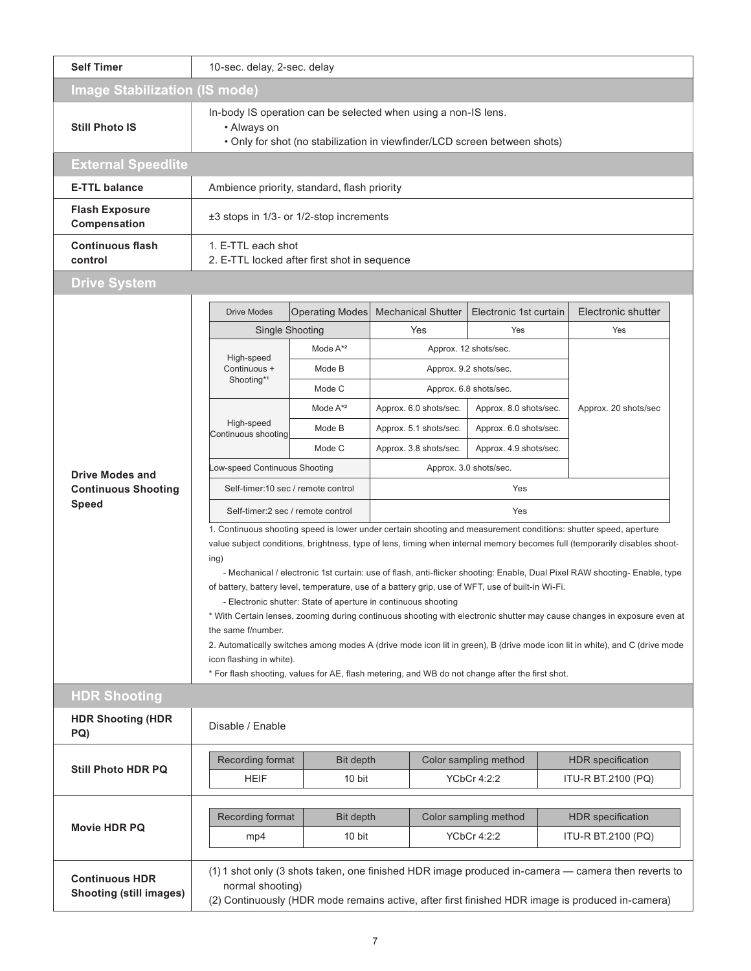| <b>Self Timer</b>                                       | 10-sec. delay, 2-sec. delay                                                                                                                                                                                                                                                                                                                                                                                                                                                                                                                                                                                                                                                                                                                                                                                                                                                                                                                                              |                                                                    |                           |                        |                                                                                                                                                                                                        |  |  |  |  |
|---------------------------------------------------------|--------------------------------------------------------------------------------------------------------------------------------------------------------------------------------------------------------------------------------------------------------------------------------------------------------------------------------------------------------------------------------------------------------------------------------------------------------------------------------------------------------------------------------------------------------------------------------------------------------------------------------------------------------------------------------------------------------------------------------------------------------------------------------------------------------------------------------------------------------------------------------------------------------------------------------------------------------------------------|--------------------------------------------------------------------|---------------------------|------------------------|--------------------------------------------------------------------------------------------------------------------------------------------------------------------------------------------------------|--|--|--|--|
|                                                         | <b>Image Stabilization (IS mode)</b>                                                                                                                                                                                                                                                                                                                                                                                                                                                                                                                                                                                                                                                                                                                                                                                                                                                                                                                                     |                                                                    |                           |                        |                                                                                                                                                                                                        |  |  |  |  |
| <b>Still Photo IS</b>                                   | In-body IS operation can be selected when using a non-IS lens.<br>• Always on<br>. Only for shot (no stabilization in viewfinder/LCD screen between shots)                                                                                                                                                                                                                                                                                                                                                                                                                                                                                                                                                                                                                                                                                                                                                                                                               |                                                                    |                           |                        |                                                                                                                                                                                                        |  |  |  |  |
| <b>External Speedlite</b>                               |                                                                                                                                                                                                                                                                                                                                                                                                                                                                                                                                                                                                                                                                                                                                                                                                                                                                                                                                                                          |                                                                    |                           |                        |                                                                                                                                                                                                        |  |  |  |  |
| <b>E-TTL balance</b>                                    | Ambience priority, standard, flash priority                                                                                                                                                                                                                                                                                                                                                                                                                                                                                                                                                                                                                                                                                                                                                                                                                                                                                                                              |                                                                    |                           |                        |                                                                                                                                                                                                        |  |  |  |  |
| <b>Flash Exposure</b><br>Compensation                   | ±3 stops in 1/3- or 1/2-stop increments                                                                                                                                                                                                                                                                                                                                                                                                                                                                                                                                                                                                                                                                                                                                                                                                                                                                                                                                  |                                                                    |                           |                        |                                                                                                                                                                                                        |  |  |  |  |
| <b>Continuous flash</b><br>control                      |                                                                                                                                                                                                                                                                                                                                                                                                                                                                                                                                                                                                                                                                                                                                                                                                                                                                                                                                                                          | 1. E-TTL each shot<br>2. E-TTL locked after first shot in sequence |                           |                        |                                                                                                                                                                                                        |  |  |  |  |
| <b>Drive System</b>                                     |                                                                                                                                                                                                                                                                                                                                                                                                                                                                                                                                                                                                                                                                                                                                                                                                                                                                                                                                                                          |                                                                    |                           |                        |                                                                                                                                                                                                        |  |  |  |  |
|                                                         | <b>Drive Modes</b>                                                                                                                                                                                                                                                                                                                                                                                                                                                                                                                                                                                                                                                                                                                                                                                                                                                                                                                                                       | <b>Operating Modes</b>                                             | <b>Mechanical Shutter</b> | Electronic 1st curtain | Electronic shutter                                                                                                                                                                                     |  |  |  |  |
|                                                         | Single Shooting                                                                                                                                                                                                                                                                                                                                                                                                                                                                                                                                                                                                                                                                                                                                                                                                                                                                                                                                                          |                                                                    | Yes                       | Yes                    | Yes                                                                                                                                                                                                    |  |  |  |  |
|                                                         |                                                                                                                                                                                                                                                                                                                                                                                                                                                                                                                                                                                                                                                                                                                                                                                                                                                                                                                                                                          | Mode $A^{\star 2}$                                                 |                           | Approx. 12 shots/sec.  |                                                                                                                                                                                                        |  |  |  |  |
|                                                         | High-speed<br>Continuous +                                                                                                                                                                                                                                                                                                                                                                                                                                                                                                                                                                                                                                                                                                                                                                                                                                                                                                                                               | Mode B                                                             |                           | Approx. 9.2 shots/sec. |                                                                                                                                                                                                        |  |  |  |  |
|                                                         | Shooting <sup>*1</sup>                                                                                                                                                                                                                                                                                                                                                                                                                                                                                                                                                                                                                                                                                                                                                                                                                                                                                                                                                   | Mode C                                                             |                           | Approx. 6.8 shots/sec. |                                                                                                                                                                                                        |  |  |  |  |
|                                                         |                                                                                                                                                                                                                                                                                                                                                                                                                                                                                                                                                                                                                                                                                                                                                                                                                                                                                                                                                                          | Mode $A^*{}^2$                                                     | Approx. 6.0 shots/sec.    | Approx. 8.0 shots/sec. | Approx. 20 shots/sec                                                                                                                                                                                   |  |  |  |  |
|                                                         | High-speed<br>Continuous shooting                                                                                                                                                                                                                                                                                                                                                                                                                                                                                                                                                                                                                                                                                                                                                                                                                                                                                                                                        | Mode B                                                             | Approx. 5.1 shots/sec.    | Approx. 6.0 shots/sec. |                                                                                                                                                                                                        |  |  |  |  |
|                                                         |                                                                                                                                                                                                                                                                                                                                                                                                                                                                                                                                                                                                                                                                                                                                                                                                                                                                                                                                                                          | Mode C                                                             | Approx. 3.8 shots/sec.    | Approx. 4.9 shots/sec. |                                                                                                                                                                                                        |  |  |  |  |
| <b>Drive Modes and</b>                                  | Low-speed Continuous Shooting                                                                                                                                                                                                                                                                                                                                                                                                                                                                                                                                                                                                                                                                                                                                                                                                                                                                                                                                            |                                                                    |                           | Approx. 3.0 shots/sec. |                                                                                                                                                                                                        |  |  |  |  |
| <b>Continuous Shooting</b>                              | Self-timer:10 sec / remote control                                                                                                                                                                                                                                                                                                                                                                                                                                                                                                                                                                                                                                                                                                                                                                                                                                                                                                                                       |                                                                    |                           | Yes                    |                                                                                                                                                                                                        |  |  |  |  |
| <b>Speed</b>                                            | Self-timer: 2 sec / remote control                                                                                                                                                                                                                                                                                                                                                                                                                                                                                                                                                                                                                                                                                                                                                                                                                                                                                                                                       |                                                                    |                           | Yes                    |                                                                                                                                                                                                        |  |  |  |  |
|                                                         | 1. Continuous shooting speed is lower under certain shooting and measurement conditions: shutter speed, aperture<br>value subject conditions, brightness, type of lens, timing when internal memory becomes full (temporarily disables shoot-<br>ing)<br>- Mechanical / electronic 1st curtain: use of flash, anti-flicker shooting: Enable, Dual Pixel RAW shooting- Enable, type<br>of battery, battery level, temperature, use of a battery grip, use of WFT, use of built-in Wi-Fi.<br>- Electronic shutter: State of aperture in continuous shooting<br>* With Certain lenses, zooming during continuous shooting with electronic shutter may cause changes in exposure even at<br>the same f/number.<br>2. Automatically switches among modes A (drive mode icon lit in green), B (drive mode icon lit in white), and C (drive mode<br>icon flashing in white).<br>* For flash shooting, values for AE, flash metering, and WB do not change after the first shot. |                                                                    |                           |                        |                                                                                                                                                                                                        |  |  |  |  |
| <b>HDR Shooting</b>                                     |                                                                                                                                                                                                                                                                                                                                                                                                                                                                                                                                                                                                                                                                                                                                                                                                                                                                                                                                                                          |                                                                    |                           |                        |                                                                                                                                                                                                        |  |  |  |  |
| <b>HDR Shooting (HDR</b><br>PQ)                         | Disable / Enable                                                                                                                                                                                                                                                                                                                                                                                                                                                                                                                                                                                                                                                                                                                                                                                                                                                                                                                                                         |                                                                    |                           |                        |                                                                                                                                                                                                        |  |  |  |  |
|                                                         | Recording format                                                                                                                                                                                                                                                                                                                                                                                                                                                                                                                                                                                                                                                                                                                                                                                                                                                                                                                                                         | <b>Bit depth</b>                                                   |                           | Color sampling method  | <b>HDR</b> specification                                                                                                                                                                               |  |  |  |  |
| <b>Still Photo HDR PQ</b>                               | <b>HEIF</b>                                                                                                                                                                                                                                                                                                                                                                                                                                                                                                                                                                                                                                                                                                                                                                                                                                                                                                                                                              | 10 bit                                                             |                           | <b>YCbCr 4:2:2</b>     | ITU-R BT.2100 (PQ)                                                                                                                                                                                     |  |  |  |  |
|                                                         | Recording format                                                                                                                                                                                                                                                                                                                                                                                                                                                                                                                                                                                                                                                                                                                                                                                                                                                                                                                                                         | Bit depth                                                          |                           | Color sampling method  | <b>HDR</b> specification                                                                                                                                                                               |  |  |  |  |
| <b>Movie HDR PQ</b>                                     | mp4                                                                                                                                                                                                                                                                                                                                                                                                                                                                                                                                                                                                                                                                                                                                                                                                                                                                                                                                                                      | 10 bit                                                             |                           | <b>YCbCr 4:2:2</b>     | ITU-R BT.2100 (PQ)                                                                                                                                                                                     |  |  |  |  |
| <b>Continuous HDR</b><br><b>Shooting (still images)</b> | normal shooting)                                                                                                                                                                                                                                                                                                                                                                                                                                                                                                                                                                                                                                                                                                                                                                                                                                                                                                                                                         |                                                                    |                           |                        | (1) 1 shot only (3 shots taken, one finished HDR image produced in-camera - camera then reverts to<br>(2) Continuously (HDR mode remains active, after first finished HDR image is produced in-camera) |  |  |  |  |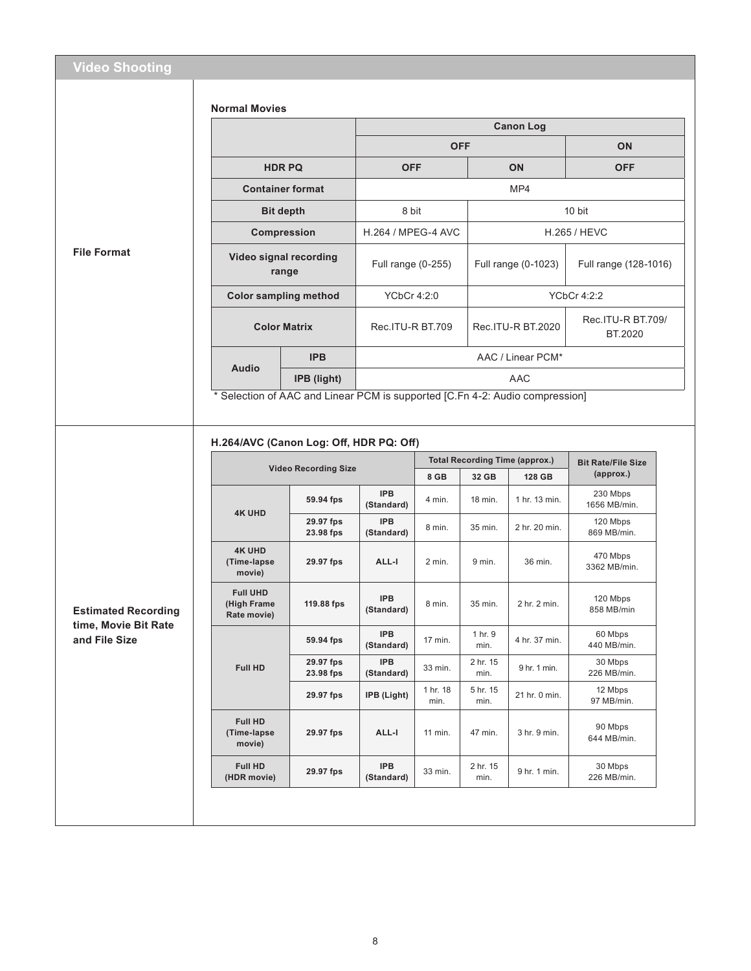|                                       | <b>Normal Movies</b>                          |                             |                                                                              |                         |                  |                                       |                                         |  |
|---------------------------------------|-----------------------------------------------|-----------------------------|------------------------------------------------------------------------------|-------------------------|------------------|---------------------------------------|-----------------------------------------|--|
|                                       |                                               |                             |                                                                              | <b>Canon Log</b>        |                  |                                       |                                         |  |
|                                       |                                               |                             |                                                                              | <b>OFF</b>              |                  |                                       | ON                                      |  |
|                                       | <b>HDRPQ</b>                                  |                             |                                                                              | <b>OFF</b><br><b>ON</b> |                  |                                       | <b>OFF</b>                              |  |
|                                       |                                               | <b>Container format</b>     |                                                                              |                         |                  | MP4                                   |                                         |  |
|                                       | <b>Bit depth</b>                              |                             |                                                                              | 8 bit                   |                  |                                       | 10 bit                                  |  |
| <b>File Format</b>                    | Compression                                   |                             | H.264 / MPEG-4 AVC                                                           |                         |                  |                                       | <b>H.265 / HEVC</b>                     |  |
|                                       | Video signal recording                        | range                       | Full range (0-255)                                                           |                         |                  | Full range (0-1023)                   | Full range (128-1016)                   |  |
|                                       | <b>Color sampling method</b>                  |                             | YCbCr 4:2:0                                                                  |                         |                  |                                       | <b>YCbCr 4:2:2</b>                      |  |
|                                       |                                               | <b>Color Matrix</b>         | Rec.ITU-R BT.709                                                             |                         |                  | Rec.ITU-R BT.2020                     | Rec. ITU-R BT.709/<br>BT.2020           |  |
|                                       |                                               | <b>IPB</b>                  |                                                                              |                         |                  | AAC / Linear PCM*                     |                                         |  |
|                                       | <b>Audio</b>                                  | IPB (light)                 |                                                                              |                         |                  | <b>AAC</b>                            |                                         |  |
|                                       |                                               |                             | * Selection of AAC and Linear PCM is supported [C.Fn 4-2: Audio compression] |                         |                  |                                       |                                         |  |
|                                       | H.264/AVC (Canon Log: Off, HDR PQ: Off)       | <b>Video Recording Size</b> |                                                                              |                         |                  | <b>Total Recording Time (approx.)</b> | <b>Bit Rate/File Size</b>               |  |
|                                       |                                               | 59.94 fps                   | <b>IPB</b>                                                                   | 8 GB<br>4 min.          | 32 GB<br>18 min. | 128 GB<br>1 hr. 13 min.               | (approx.)<br>230 Mbps                   |  |
|                                       | <b>4K UHD</b>                                 | 29.97 fps<br>23.98 fps      | (Standard)<br><b>IPB</b><br>(Standard)                                       | 8 min.                  | 35 min.          | 2 hr. 20 min.                         | 1656 MB/min.<br>120 Mbps<br>869 MB/min. |  |
|                                       | <b>4K UHD</b><br>(Time-lapse<br>movie)        | 29.97 fps                   | ALL-I                                                                        | 2 min.                  | 9 min.           | 36 min.                               | 470 Mbps<br>3362 MB/min.                |  |
| <b>Estimated Recording</b>            | <b>Full UHD</b><br>(High Frame<br>Rate movie) | 119.88 fps                  | <b>IPB</b><br>(Standard)                                                     | 8 min.                  | 35 min.          | 2 hr. 2 min.                          | 120 Mbps<br>858 MB/min                  |  |
| time, Movie Bit Rate<br>and File Size |                                               | 59.94 fps                   | IPB<br>(Standard)                                                            | 17 min.                 | 1 hr. 9<br>min.  | 4 hr. 37 min.                         | 60 Mbps<br>440 MB/min.                  |  |
|                                       | Full HD                                       | 29.97 fps<br>23.98 fps      | IPB<br>(Standard)                                                            | 33 min.                 | 2 hr. 15<br>min. | 9 hr. 1 min.                          | 30 Mbps<br>226 MB/min.                  |  |
|                                       |                                               | 29.97 fps                   | IPB (Light)                                                                  | 1 hr. 18<br>min.        | 5 hr. 15<br>min. | 21 hr. 0 min.                         | 12 Mbps<br>97 MB/min.                   |  |
|                                       | Full HD<br>(Time-lapse<br>movie)              | 29.97 fps                   | ALL-I                                                                        | 11 min.                 | 47 min.          | 3 hr. 9 min.                          | 90 Mbps<br>644 MB/min.                  |  |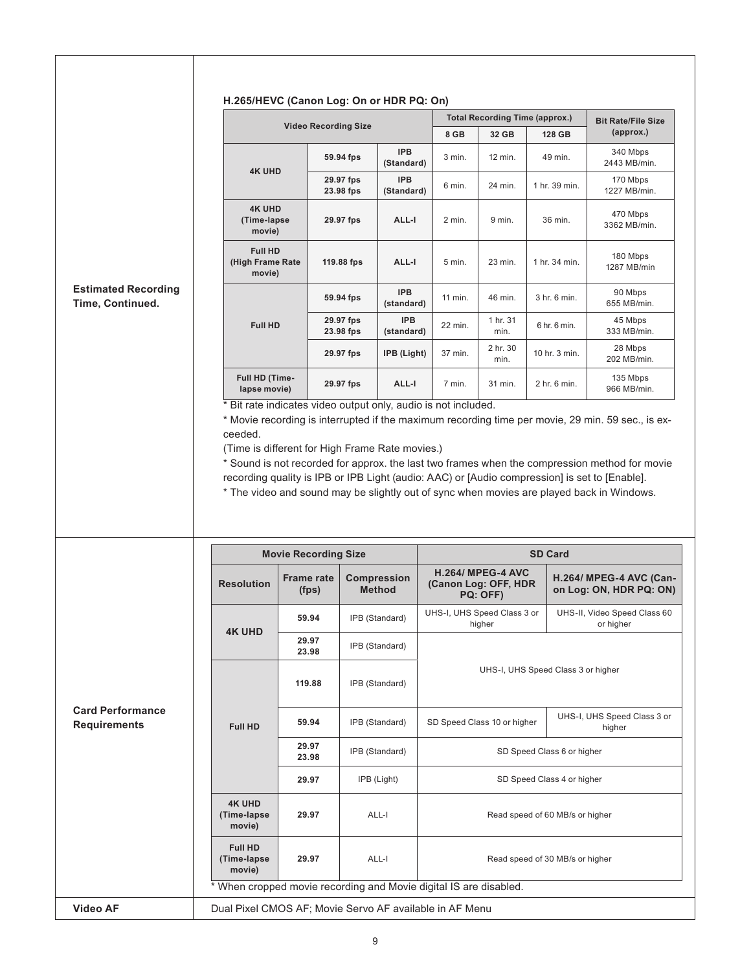|                                                | H.265/HEVC (Canon Log: On or HDR PQ: On)                          |                                                                   |                                                         |                          |                                       |                                      |                                           |                                                    |  |
|------------------------------------------------|-------------------------------------------------------------------|-------------------------------------------------------------------|---------------------------------------------------------|--------------------------|---------------------------------------|--------------------------------------|-------------------------------------------|----------------------------------------------------|--|
|                                                |                                                                   |                                                                   |                                                         |                          | <b>Total Recording Time (approx.)</b> |                                      |                                           | <b>Bit Rate/File Size</b>                          |  |
|                                                |                                                                   | <b>Video Recording Size</b>                                       |                                                         |                          | 8 GB                                  | 32 GB                                | 128 GB                                    | (approx.)                                          |  |
|                                                |                                                                   |                                                                   | 59.94 fps                                               | <b>IPB</b><br>(Standard) | 3 min.                                | 12 min.                              | 49 min.                                   | 340 Mbps<br>2443 MB/min.                           |  |
|                                                | <b>4K UHD</b>                                                     |                                                                   | 29.97 fps<br>23.98 fps                                  | <b>IPB</b><br>(Standard) | 6 min.                                | 24 min.                              | 1 hr. 39 min.                             | 170 Mbps<br>1227 MB/min.                           |  |
|                                                | <b>4K UHD</b><br>(Time-lapse<br>movie)                            |                                                                   | 29.97 fps                                               | ALL-I                    | 2 min.                                | 9 min.                               | 36 min.                                   | 470 Mbps<br>3362 MB/min.                           |  |
|                                                | <b>Full HD</b><br>(High Frame Rate<br>movie)                      |                                                                   | 119.88 fps                                              | ALL-I                    | 5 min.                                | 23 min.                              | 1 hr. 34 min.                             | 180 Mbps<br>1287 MB/min                            |  |
| <b>Estimated Recording</b><br>Time, Continued. |                                                                   |                                                                   | 59.94 fps                                               | <b>IPB</b><br>(standard) | 11 min.                               | 46 min.                              | 3 hr. 6 min.                              | 90 Mbps<br>655 MB/min.                             |  |
|                                                | <b>Full HD</b>                                                    |                                                                   | 29.97 fps<br>23.98 fps                                  | <b>IPB</b><br>(standard) | 22 min.                               | 1 hr. 31<br>min.                     | 6 hr. 6 min.                              | 45 Mbps<br>333 MB/min.                             |  |
|                                                |                                                                   |                                                                   | 29.97 fps                                               | IPB (Light)              | 37 min.                               | 2 hr. 30<br>min.                     | 10 hr. 3 min.                             | 28 Mbps<br>202 MB/min.                             |  |
|                                                | Full HD (Time-<br>lapse movie)                                    |                                                                   | 29.97 fps                                               | ALL-I                    | 7 min.                                | 31 min.                              | 2 hr. 6 min.                              | 135 Mbps<br>966 MB/min.                            |  |
|                                                |                                                                   | <b>Movie Recording Size</b>                                       |                                                         |                          |                                       |                                      | <b>SD Card</b>                            |                                                    |  |
|                                                | <b>Resolution</b>                                                 | <b>Frame rate</b><br><b>Compression</b><br><b>Method</b><br>(fps) |                                                         |                          | (Canon Log: OFF, HDR                  | <b>H.264/ MPEG-4 AVC</b><br>PQ: OFF) |                                           | H.264/ MPEG-4 AVC (Can-<br>on Log: ON, HDR PQ: ON) |  |
|                                                | <b>4K UHD</b>                                                     | 59.94                                                             | IPB (Standard)                                          |                          | UHS-I, UHS Speed Class 3 or<br>higher |                                      | UHS-II, Video Speed Class 60<br>or higher |                                                    |  |
|                                                |                                                                   | 29.97<br>23.98                                                    | IPB (Standard)                                          |                          |                                       |                                      |                                           |                                                    |  |
|                                                |                                                                   | 119.88                                                            | IPB (Standard)                                          |                          | UHS-I, UHS Speed Class 3 or higher    |                                      |                                           |                                                    |  |
| <b>Card Performance</b><br><b>Requirements</b> | <b>Full HD</b>                                                    | 59.94                                                             |                                                         | IPB (Standard)           |                                       | SD Speed Class 10 or higher          |                                           | UHS-I, UHS Speed Class 3 or<br>higher              |  |
|                                                |                                                                   | 29.97<br>23.98                                                    |                                                         | IPB (Standard)           | SD Speed Class 6 or higher            |                                      |                                           |                                                    |  |
|                                                |                                                                   | 29.97                                                             |                                                         | IPB (Light)              | SD Speed Class 4 or higher            |                                      |                                           |                                                    |  |
|                                                | <b>4K UHD</b><br>(Time-lapse<br>movie)                            | 29.97                                                             |                                                         | ALL-I                    |                                       |                                      | Read speed of 60 MB/s or higher           |                                                    |  |
|                                                | <b>Full HD</b><br>(Time-lapse<br>movie)                           | 29.97                                                             |                                                         | ALL-I                    |                                       |                                      | Read speed of 30 MB/s or higher           |                                                    |  |
|                                                | * When cropped movie recording and Movie digital IS are disabled. |                                                                   |                                                         |                          |                                       |                                      |                                           |                                                    |  |
|                                                |                                                                   |                                                                   | Dual Pixel CMOS AF; Movie Servo AF available in AF Menu |                          |                                       |                                      |                                           |                                                    |  |

 $\overline{1}$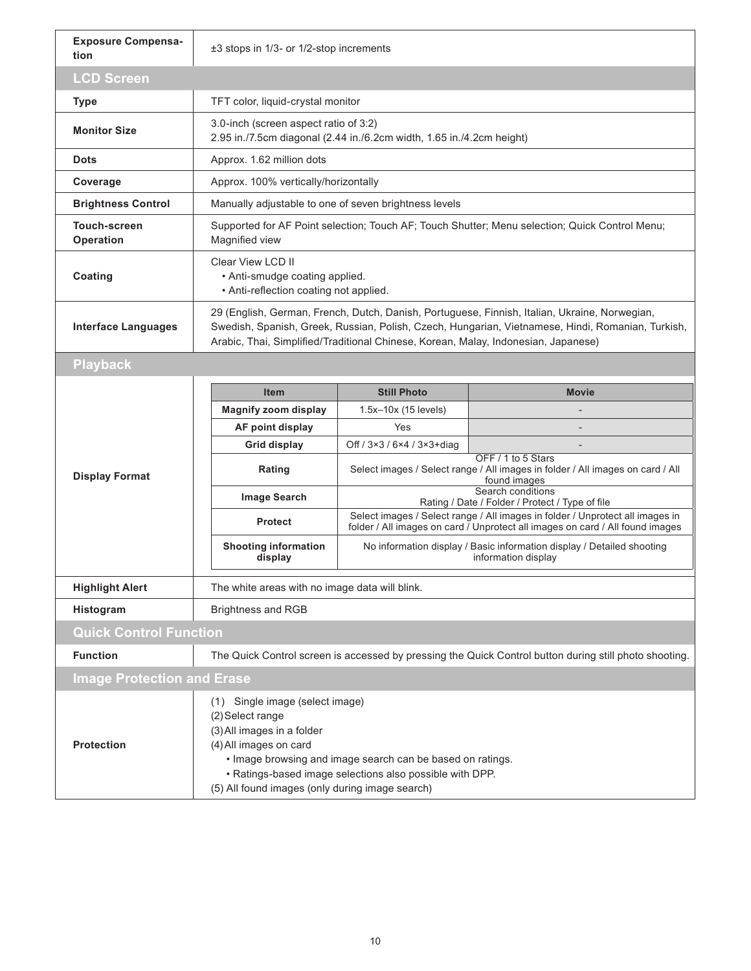| <b>Exposure Compensa-</b><br>tion | ±3 stops in 1/3- or 1/2-stop increments                                                                                                                                                                                                                                                  |                                                                                                                |                                                                                                                                                                |  |  |  |  |  |
|-----------------------------------|------------------------------------------------------------------------------------------------------------------------------------------------------------------------------------------------------------------------------------------------------------------------------------------|----------------------------------------------------------------------------------------------------------------|----------------------------------------------------------------------------------------------------------------------------------------------------------------|--|--|--|--|--|
| <b>LCD Screen</b>                 |                                                                                                                                                                                                                                                                                          |                                                                                                                |                                                                                                                                                                |  |  |  |  |  |
| <b>Type</b>                       | TFT color, liquid-crystal monitor                                                                                                                                                                                                                                                        |                                                                                                                |                                                                                                                                                                |  |  |  |  |  |
| <b>Monitor Size</b>               |                                                                                                                                                                                                                                                                                          | 3.0-inch (screen aspect ratio of 3:2)<br>2.95 in./7.5cm diagonal (2.44 in./6.2cm width, 1.65 in./4.2cm height) |                                                                                                                                                                |  |  |  |  |  |
| <b>Dots</b>                       | Approx. 1.62 million dots                                                                                                                                                                                                                                                                |                                                                                                                |                                                                                                                                                                |  |  |  |  |  |
| Coverage                          | Approx. 100% vertically/horizontally                                                                                                                                                                                                                                                     |                                                                                                                |                                                                                                                                                                |  |  |  |  |  |
| <b>Brightness Control</b>         | Manually adjustable to one of seven brightness levels                                                                                                                                                                                                                                    |                                                                                                                |                                                                                                                                                                |  |  |  |  |  |
| <b>Touch-screen</b><br>Operation  | Supported for AF Point selection; Touch AF; Touch Shutter; Menu selection; Quick Control Menu;<br>Magnified view                                                                                                                                                                         |                                                                                                                |                                                                                                                                                                |  |  |  |  |  |
| Coating                           | Clear View LCD II<br>• Anti-smudge coating applied.<br>• Anti-reflection coating not applied.                                                                                                                                                                                            |                                                                                                                |                                                                                                                                                                |  |  |  |  |  |
| <b>Interface Languages</b>        | 29 (English, German, French, Dutch, Danish, Portuguese, Finnish, Italian, Ukraine, Norwegian,<br>Swedish, Spanish, Greek, Russian, Polish, Czech, Hungarian, Vietnamese, Hindi, Romanian, Turkish,<br>Arabic, Thai, Simplified/Traditional Chinese, Korean, Malay, Indonesian, Japanese) |                                                                                                                |                                                                                                                                                                |  |  |  |  |  |
| <b>Playback</b>                   |                                                                                                                                                                                                                                                                                          |                                                                                                                |                                                                                                                                                                |  |  |  |  |  |
|                                   | <b>Item</b>                                                                                                                                                                                                                                                                              | <b>Still Photo</b>                                                                                             | <b>Movie</b>                                                                                                                                                   |  |  |  |  |  |
|                                   | <b>Magnify zoom display</b>                                                                                                                                                                                                                                                              | 1.5x-10x (15 levels)                                                                                           |                                                                                                                                                                |  |  |  |  |  |
|                                   | AF point display                                                                                                                                                                                                                                                                         | Yes                                                                                                            |                                                                                                                                                                |  |  |  |  |  |
|                                   | <b>Grid display</b>                                                                                                                                                                                                                                                                      | Off / 3×3 / 6×4 / 3×3+diag                                                                                     |                                                                                                                                                                |  |  |  |  |  |
| <b>Display Format</b>             | Rating                                                                                                                                                                                                                                                                                   |                                                                                                                | OFF / 1 to 5 Stars<br>Select images / Select range / All images in folder / All images on card / All<br>found images                                           |  |  |  |  |  |
|                                   | <b>Image Search</b>                                                                                                                                                                                                                                                                      |                                                                                                                | Search conditions<br>Rating / Date / Folder / Protect / Type of file                                                                                           |  |  |  |  |  |
|                                   | <b>Protect</b>                                                                                                                                                                                                                                                                           |                                                                                                                | Select images / Select range / All images in folder / Unprotect all images in<br>folder / All images on card / Unprotect all images on card / All found images |  |  |  |  |  |
|                                   | <b>Shooting information</b><br>display                                                                                                                                                                                                                                                   |                                                                                                                | No information display / Basic information display / Detailed shooting<br>information display                                                                  |  |  |  |  |  |
| <b>Highlight Alert</b>            | The white areas with no image data will blink.                                                                                                                                                                                                                                           |                                                                                                                |                                                                                                                                                                |  |  |  |  |  |
| Histogram                         | <b>Brightness and RGB</b>                                                                                                                                                                                                                                                                |                                                                                                                |                                                                                                                                                                |  |  |  |  |  |
| <b>Quick Control Function</b>     |                                                                                                                                                                                                                                                                                          |                                                                                                                |                                                                                                                                                                |  |  |  |  |  |
| <b>Function</b>                   |                                                                                                                                                                                                                                                                                          |                                                                                                                | The Quick Control screen is accessed by pressing the Quick Control button during still photo shooting.                                                         |  |  |  |  |  |
| <b>Image Protection and Erase</b> |                                                                                                                                                                                                                                                                                          |                                                                                                                |                                                                                                                                                                |  |  |  |  |  |
|                                   | (1) Single image (select image)<br>(2) Select range<br>(3) All images in a folder<br>(4) All images on card<br>. Image browsing and image search can be based on ratings.<br>. Ratings-based image selections also possible with DPP.<br>(5) All found images (only during image search) |                                                                                                                |                                                                                                                                                                |  |  |  |  |  |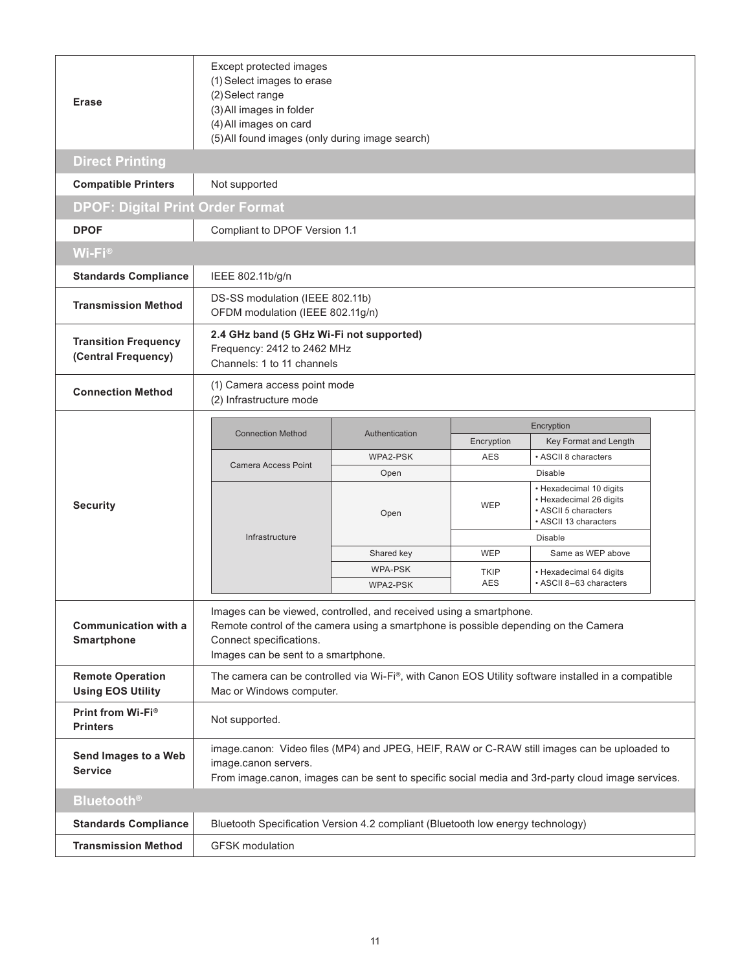| <b>Erase</b>                                        | Except protected images<br>(1) Select images to erase<br>(2) Select range<br>(3) All images in folder<br>(4) All images on card<br>(5) All found images (only during image search)                                          |                  |             |                                                                                                                                                                                                  |  |  |  |  |  |
|-----------------------------------------------------|-----------------------------------------------------------------------------------------------------------------------------------------------------------------------------------------------------------------------------|------------------|-------------|--------------------------------------------------------------------------------------------------------------------------------------------------------------------------------------------------|--|--|--|--|--|
| <b>Direct Printing</b>                              |                                                                                                                                                                                                                             |                  |             |                                                                                                                                                                                                  |  |  |  |  |  |
| <b>Compatible Printers</b>                          | Not supported                                                                                                                                                                                                               |                  |             |                                                                                                                                                                                                  |  |  |  |  |  |
| <b>DPOF: Digital Print Order Format</b>             |                                                                                                                                                                                                                             |                  |             |                                                                                                                                                                                                  |  |  |  |  |  |
| <b>DPOF</b>                                         | Compliant to DPOF Version 1.1                                                                                                                                                                                               |                  |             |                                                                                                                                                                                                  |  |  |  |  |  |
| $Wi-Fi®$                                            |                                                                                                                                                                                                                             |                  |             |                                                                                                                                                                                                  |  |  |  |  |  |
| <b>Standards Compliance</b>                         | IEEE 802.11b/g/n                                                                                                                                                                                                            |                  |             |                                                                                                                                                                                                  |  |  |  |  |  |
| <b>Transmission Method</b>                          | DS-SS modulation (IEEE 802.11b)<br>OFDM modulation (IEEE 802.11g/n)                                                                                                                                                         |                  |             |                                                                                                                                                                                                  |  |  |  |  |  |
| <b>Transition Frequency</b><br>(Central Frequency)  | 2.4 GHz band (5 GHz Wi-Fi not supported)<br>Frequency: 2412 to 2462 MHz<br>Channels: 1 to 11 channels                                                                                                                       |                  |             |                                                                                                                                                                                                  |  |  |  |  |  |
| <b>Connection Method</b>                            | (1) Camera access point mode<br>(2) Infrastructure mode                                                                                                                                                                     |                  |             |                                                                                                                                                                                                  |  |  |  |  |  |
|                                                     | <b>Connection Method</b>                                                                                                                                                                                                    | Authentication   |             | Encryption                                                                                                                                                                                       |  |  |  |  |  |
|                                                     |                                                                                                                                                                                                                             |                  | Encryption  | Key Format and Length                                                                                                                                                                            |  |  |  |  |  |
|                                                     | <b>Camera Access Point</b>                                                                                                                                                                                                  | WPA2-PSK<br>Open | <b>AES</b>  | • ASCII 8 characters<br><b>Disable</b>                                                                                                                                                           |  |  |  |  |  |
| <b>Security</b>                                     |                                                                                                                                                                                                                             | Open             | <b>WEP</b>  | • Hexadecimal 10 digits<br>• Hexadecimal 26 digits<br>• ASCII 5 characters<br>• ASCII 13 characters                                                                                              |  |  |  |  |  |
|                                                     | Infrastructure                                                                                                                                                                                                              |                  |             | <b>Disable</b>                                                                                                                                                                                   |  |  |  |  |  |
|                                                     |                                                                                                                                                                                                                             | Shared key       | <b>WEP</b>  | Same as WEP above                                                                                                                                                                                |  |  |  |  |  |
|                                                     |                                                                                                                                                                                                                             | <b>WPA-PSK</b>   | <b>TKIP</b> | • Hexadecimal 64 digits                                                                                                                                                                          |  |  |  |  |  |
|                                                     | • ASCII 8-63 characters<br>WPA2-PSK                                                                                                                                                                                         |                  |             |                                                                                                                                                                                                  |  |  |  |  |  |
|                                                     |                                                                                                                                                                                                                             |                  | AES         |                                                                                                                                                                                                  |  |  |  |  |  |
| <b>Communication with a</b><br>Smartphone           | Images can be viewed, controlled, and received using a smartphone.<br>Remote control of the camera using a smartphone is possible depending on the Camera<br>Connect specifications.<br>Images can be sent to a smartphone. |                  |             |                                                                                                                                                                                                  |  |  |  |  |  |
| <b>Remote Operation</b><br><b>Using EOS Utility</b> | Mac or Windows computer.                                                                                                                                                                                                    |                  |             | The camera can be controlled via Wi-Fi®, with Canon EOS Utility software installed in a compatible                                                                                               |  |  |  |  |  |
| Print from Wi-Fi®<br><b>Printers</b>                | Not supported.                                                                                                                                                                                                              |                  |             |                                                                                                                                                                                                  |  |  |  |  |  |
| Send Images to a Web<br><b>Service</b>              | image.canon servers.                                                                                                                                                                                                        |                  |             | image.canon: Video files (MP4) and JPEG, HEIF, RAW or C-RAW still images can be uploaded to<br>From image canon, images can be sent to specific social media and 3rd-party cloud image services. |  |  |  |  |  |
| <b>Bluetooth®</b>                                   |                                                                                                                                                                                                                             |                  |             |                                                                                                                                                                                                  |  |  |  |  |  |
| <b>Standards Compliance</b>                         | Bluetooth Specification Version 4.2 compliant (Bluetooth low energy technology)                                                                                                                                             |                  |             |                                                                                                                                                                                                  |  |  |  |  |  |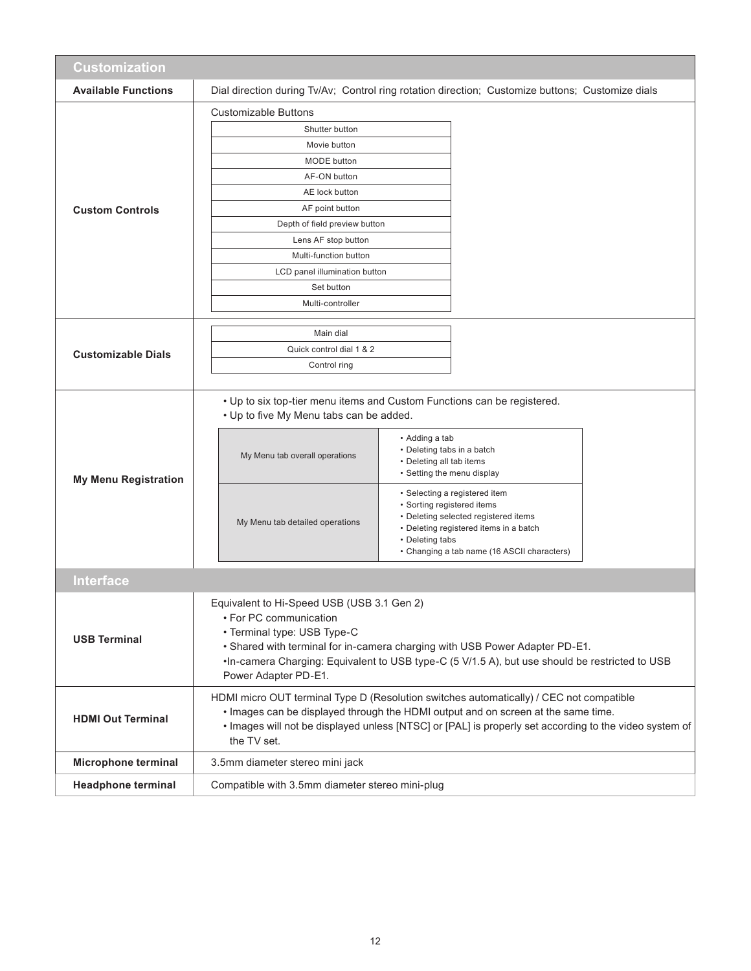| Customization               |                                                                                                                                                                                                                                                                                                              |                                                                                                                                                                                                                 |  |  |
|-----------------------------|--------------------------------------------------------------------------------------------------------------------------------------------------------------------------------------------------------------------------------------------------------------------------------------------------------------|-----------------------------------------------------------------------------------------------------------------------------------------------------------------------------------------------------------------|--|--|
| <b>Available Functions</b>  | Dial direction during Tv/Av; Control ring rotation direction; Customize buttons; Customize dials                                                                                                                                                                                                             |                                                                                                                                                                                                                 |  |  |
|                             | <b>Customizable Buttons</b>                                                                                                                                                                                                                                                                                  |                                                                                                                                                                                                                 |  |  |
|                             | Shutter button                                                                                                                                                                                                                                                                                               |                                                                                                                                                                                                                 |  |  |
|                             | Movie button                                                                                                                                                                                                                                                                                                 |                                                                                                                                                                                                                 |  |  |
|                             | <b>MODE</b> button                                                                                                                                                                                                                                                                                           |                                                                                                                                                                                                                 |  |  |
|                             | AF-ON button                                                                                                                                                                                                                                                                                                 |                                                                                                                                                                                                                 |  |  |
|                             | AE lock button                                                                                                                                                                                                                                                                                               |                                                                                                                                                                                                                 |  |  |
| <b>Custom Controls</b>      | AF point button                                                                                                                                                                                                                                                                                              |                                                                                                                                                                                                                 |  |  |
|                             | Depth of field preview button                                                                                                                                                                                                                                                                                |                                                                                                                                                                                                                 |  |  |
|                             | Lens AF stop button                                                                                                                                                                                                                                                                                          |                                                                                                                                                                                                                 |  |  |
|                             | Multi-function button                                                                                                                                                                                                                                                                                        |                                                                                                                                                                                                                 |  |  |
|                             | LCD panel illumination button<br>Set button                                                                                                                                                                                                                                                                  |                                                                                                                                                                                                                 |  |  |
|                             | Multi-controller                                                                                                                                                                                                                                                                                             |                                                                                                                                                                                                                 |  |  |
|                             |                                                                                                                                                                                                                                                                                                              |                                                                                                                                                                                                                 |  |  |
|                             | Main dial                                                                                                                                                                                                                                                                                                    |                                                                                                                                                                                                                 |  |  |
| <b>Customizable Dials</b>   | Quick control dial 1 & 2                                                                                                                                                                                                                                                                                     |                                                                                                                                                                                                                 |  |  |
|                             | Control ring                                                                                                                                                                                                                                                                                                 |                                                                                                                                                                                                                 |  |  |
|                             |                                                                                                                                                                                                                                                                                                              |                                                                                                                                                                                                                 |  |  |
|                             | • Up to six top-tier menu items and Custom Functions can be registered.<br>• Up to five My Menu tabs can be added.                                                                                                                                                                                           | • Adding a tab<br>• Deleting tabs in a batch                                                                                                                                                                    |  |  |
| <b>My Menu Registration</b> | My Menu tab overall operations                                                                                                                                                                                                                                                                               | • Deleting all tab items<br>• Setting the menu display                                                                                                                                                          |  |  |
|                             | My Menu tab detailed operations                                                                                                                                                                                                                                                                              | • Selecting a registered item<br>• Sorting registered items<br>• Deleting selected registered items<br>• Deleting registered items in a batch<br>• Deleting tabs<br>• Changing a tab name (16 ASCII characters) |  |  |
| <b>Interface</b>            |                                                                                                                                                                                                                                                                                                              |                                                                                                                                                                                                                 |  |  |
|                             |                                                                                                                                                                                                                                                                                                              |                                                                                                                                                                                                                 |  |  |
| <b>USB Terminal</b>         | Equivalent to Hi-Speed USB (USB 3.1 Gen 2)<br>• For PC communication<br>• Terminal type: USB Type-C<br>. Shared with terminal for in-camera charging with USB Power Adapter PD-E1.<br>.In-camera Charging: Equivalent to USB type-C (5 V/1.5 A), but use should be restricted to USB<br>Power Adapter PD-E1. |                                                                                                                                                                                                                 |  |  |
| <b>HDMI Out Terminal</b>    | HDMI micro OUT terminal Type D (Resolution switches automatically) / CEC not compatible<br>. Images can be displayed through the HDMI output and on screen at the same time.<br>· Images will not be displayed unless [NTSC] or [PAL] is properly set according to the video system of<br>the TV set.        |                                                                                                                                                                                                                 |  |  |
| Microphone terminal         | 3.5mm diameter stereo mini jack                                                                                                                                                                                                                                                                              |                                                                                                                                                                                                                 |  |  |
| <b>Headphone terminal</b>   | Compatible with 3.5mm diameter stereo mini-plug                                                                                                                                                                                                                                                              |                                                                                                                                                                                                                 |  |  |